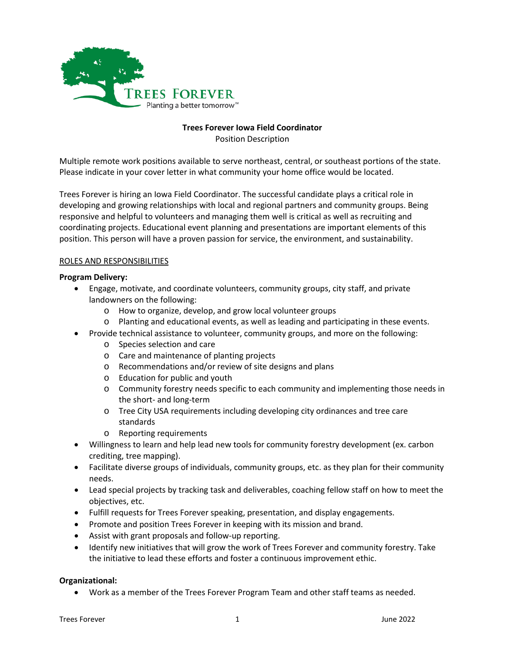

# **Trees Forever Iowa Field Coordinator**

Position Description

Multiple remote work positions available to serve northeast, central, or southeast portions of the state. Please indicate in your cover letter in what community your home office would be located.

Trees Forever is hiring an Iowa Field Coordinator. The successful candidate plays a critical role in developing and growing relationships with local and regional partners and community groups. Being responsive and helpful to volunteers and managing them well is critical as well as recruiting and coordinating projects. Educational event planning and presentations are important elements of this position. This person will have a proven passion for service, the environment, and sustainability.

## ROLES AND RESPONSIBILITIES

## **Program Delivery:**

- Engage, motivate, and coordinate volunteers, community groups, city staff, and private landowners on the following:
	- o How to organize, develop, and grow local volunteer groups
	- o Planting and educational events, as well as leading and participating in these events.
- Provide technical assistance to volunteer, community groups, and more on the following:
	- o Species selection and care
	- o Care and maintenance of planting projects
	- o Recommendations and/or review of site designs and plans
	- o Education for public and youth
	- o Community forestry needs specific to each community and implementing those needs in the short- and long-term
	- o Tree City USA requirements including developing city ordinances and tree care standards
	- o Reporting requirements
- Willingness to learn and help lead new tools for community forestry development (ex. carbon crediting, tree mapping).
- Facilitate diverse groups of individuals, community groups, etc. as they plan for their community needs.
- Lead special projects by tracking task and deliverables, coaching fellow staff on how to meet the objectives, etc.
- Fulfill requests for Trees Forever speaking, presentation, and display engagements.
- Promote and position Trees Forever in keeping with its mission and brand.
- Assist with grant proposals and follow-up reporting.
- Identify new initiatives that will grow the work of Trees Forever and community forestry. Take the initiative to lead these efforts and foster a continuous improvement ethic.

### **Organizational:**

• Work as a member of the Trees Forever Program Team and other staff teams as needed.